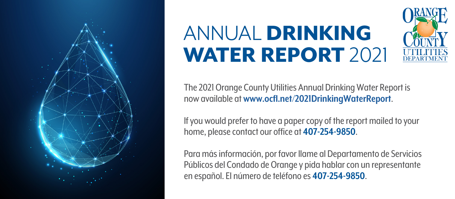

## ANNUAL DRINKING WATER REPORT 2021



The 2021 Orange County Utilities Annual Drinking Water Report is now available at **[www.ocfl.net/2021DrinkingWaterReport](http://www.ocfl.net/2021DrinkingWaterReport)**.

If you would prefer to have a paper copy of the report mailed to your home, please contact our office at **407-254-9850**.

Para más información, por favor llame al Departamento de Servicios Públicos del Condado de Orange y pida hablar con un representante en español. El número de teléfono es **407-254-9850**.